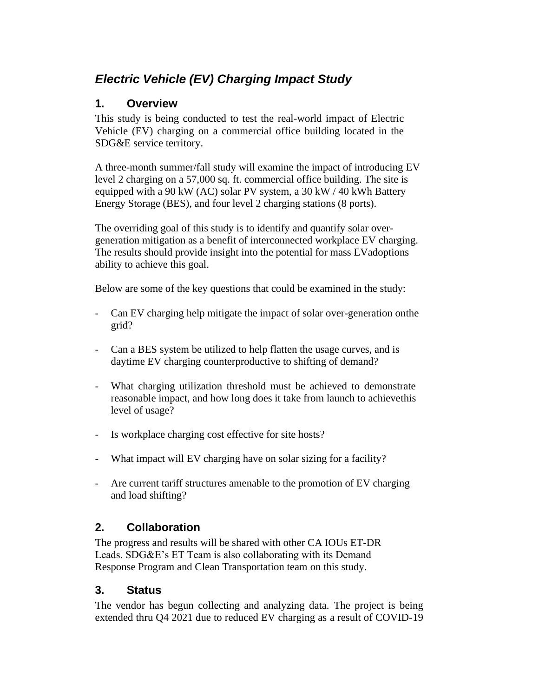# *Electric Vehicle (EV) Charging Impact Study*

### **1. Overview**

This study is being conducted to test the real-world impact of Electric Vehicle (EV) charging on a commercial office building located in the SDG&E service territory.

A three-month summer/fall study will examine the impact of introducing EV level 2 charging on a 57,000 sq. ft. commercial office building. The site is equipped with a 90 kW (AC) solar PV system, a 30 kW  $/$  40 kWh Battery Energy Storage (BES), and four level 2 charging stations (8 ports).

The overriding goal of this study is to identify and quantify solar overgeneration mitigation as a benefit of interconnected workplace EV charging. The results should provide insight into the potential for mass EVadoptions ability to achieve this goal.

Below are some of the key questions that could be examined in the study:

- Can EV charging help mitigate the impact of solar over-generation onthe grid?
- Can a BES system be utilized to help flatten the usage curves, and is daytime EV charging counterproductive to shifting of demand?
- What charging utilization threshold must be achieved to demonstrate reasonable impact, and how long does it take from launch to achievethis level of usage?
- Is workplace charging cost effective for site hosts?
- What impact will EV charging have on solar sizing for a facility?
- Are current tariff structures amenable to the promotion of EV charging and load shifting?

## **2. Collaboration**

The progress and results will be shared with other CA IOUs ET-DR Leads. SDG&E's ET Team is also collaborating with its Demand Response Program and Clean Transportation team on this study.

#### **3. Status**

The vendor has begun collecting and analyzing data. The project is being extended thru Q4 2021 due to reduced EV charging as a result of COVID-19